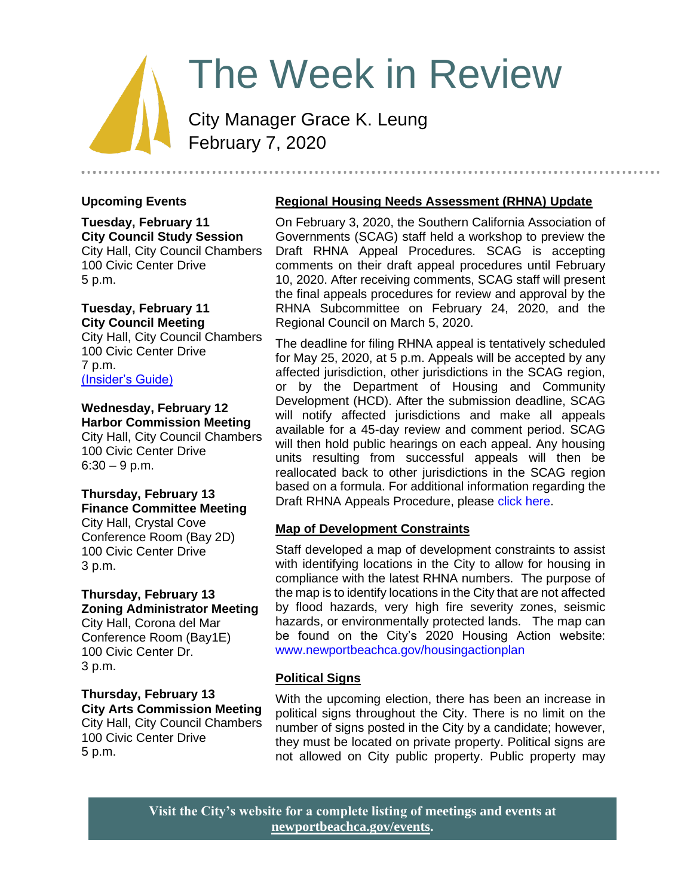# The Week in Review

City Manager Grace K. Leung February 7, 2020

# **Upcoming Events**

**Tuesday, February 11 City Council Study Session** City Hall, City Council Chambers 100 Civic Center Drive 5 p.m.

#### **Tuesday, February 11 City Council Meeting**

City Hall, City Council Chambers 100 Civic Center Drive 7 p.m. [\(Insider's Guide\)](https://www.newportbeachca.gov/government/departments/city-manager-s-office/insider-s-guide/-fsiteid-1)

### **Wednesday, February 12 Harbor Commission Meeting**

City Hall, City Council Chambers 100 Civic Center Drive  $6:30 - 9$  p.m.

#### **Thursday, February 13 Finance Committee Meeting**

City Hall, Crystal Cove Conference Room (Bay 2D) 100 Civic Center Drive 3 p.m.

#### **Thursday, February 13 Zoning Administrator Meeting**

City Hall, Corona del Mar Conference Room (Bay1E) 100 Civic Center Dr. 3 p.m.

**Thursday, February 13 City Arts Commission Meeting** City Hall, City Council Chambers 100 Civic Center Drive 5 p.m.

# **Regional Housing Needs Assessment (RHNA) Update**

On February 3, 2020, the Southern California Association of Governments (SCAG) staff held a workshop to preview the Draft RHNA Appeal Procedures. SCAG is accepting comments on their draft appeal procedures until February 10, 2020. After receiving comments, SCAG staff will present the final appeals procedures for review and approval by the RHNA Subcommittee on February 24, 2020, and the Regional Council on March 5, 2020.

The deadline for filing RHNA appeal is tentatively scheduled for May 25, 2020, at 5 p.m. Appeals will be accepted by any affected jurisdiction, other jurisdictions in the SCAG region, or by the Department of Housing and Community Development (HCD). After the submission deadline, SCAG will notify affected jurisdictions and make all appeals available for a 45-day review and comment period. SCAG will then hold public hearings on each appeal. Any housing units resulting from successful appeals will then be reallocated back to other jurisdictions in the SCAG region based on a formula. For additional information regarding the Draft RHNA Appeals Procedure, please [click here.](https://www.newportbeachca.gov/Home/ShowDocument?id=66322)

# **Map of Development Constraints**

Staff developed a map of development constraints to assist with identifying locations in the City to allow for housing in compliance with the latest RHNA numbers. The purpose of the map is to identify locations in the City that are not affected by flood hazards, very high fire severity zones, seismic hazards, or environmentally protected lands. The map can be found on the City's 2020 Housing Action website: [www.newportbeachca.gov/housingactionplan](http://www.newportbeachca.gov/housingactionplan)

# **Political Signs**

With the upcoming election, there has been an increase in political signs throughout the City. There is no limit on the number of signs posted in the City by a candidate; however, they must be located on private property. Political signs are not allowed on City public property. Public property may

**Visit the City's website for a complete listing of meetings and events at [newportbeachca.gov/events.](https://www.newportbeachca.gov/government/open-government/city-calendar)**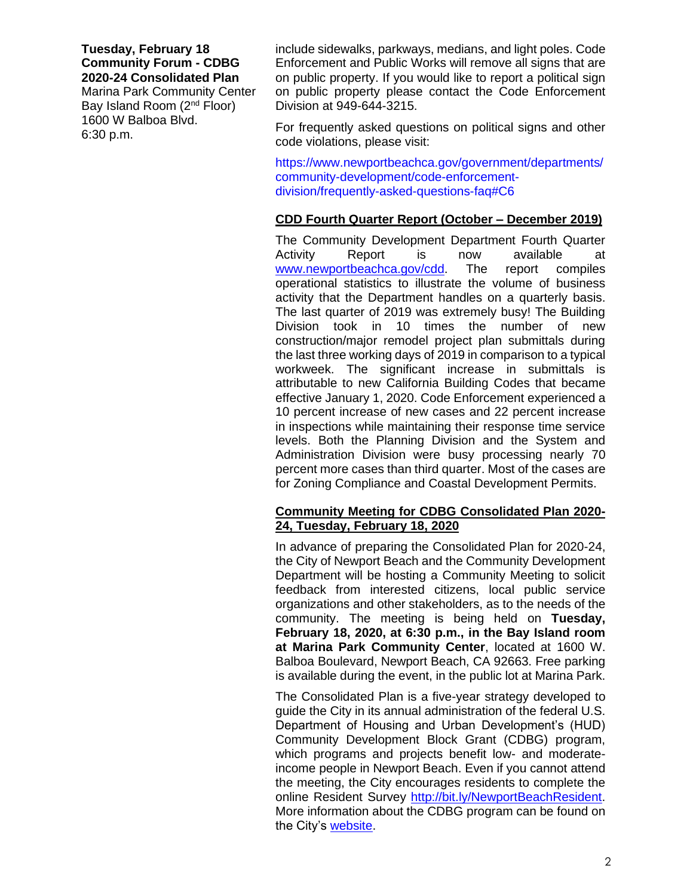# **Tuesday, February 18 Community Forum - CDBG 2020-24 Consolidated Plan**

Marina Park Community Center Bay Island Room (2nd Floor) 1600 W Balboa Blvd. 6:30 p.m.

include sidewalks, parkways, medians, and light poles. Code Enforcement and Public Works will remove all signs that are on public property. If you would like to report a political sign on public property please contact the Code Enforcement Division at 949-644-3215.

For frequently asked questions on political signs and other code violations, please visit:

[https://www.newportbeachca.gov/government/departments/](https://www.newportbeachca.gov/government/departments/community-development/code-enforcement-division/frequently-asked-questions-faq#C6) [community-development/code-enforcement](https://www.newportbeachca.gov/government/departments/community-development/code-enforcement-division/frequently-asked-questions-faq#C6)[division/frequently-asked-questions-faq#C6](https://www.newportbeachca.gov/government/departments/community-development/code-enforcement-division/frequently-asked-questions-faq#C6)

# **CDD Fourth Quarter Report (October – December 2019)**

The Community Development Department Fourth Quarter Activity Report is now available at [www.newportbeachca.gov/cdd.](http://www.newportbeachca.gov/cdd) The report compiles operational statistics to illustrate the volume of business activity that the Department handles on a quarterly basis. The last quarter of 2019 was extremely busy! The Building Division took in 10 times the number of new construction/major remodel project plan submittals during the last three working days of 2019 in comparison to a typical workweek. The significant increase in submittals is attributable to new California Building Codes that became effective January 1, 2020. Code Enforcement experienced a 10 percent increase of new cases and 22 percent increase in inspections while maintaining their response time service levels. Both the Planning Division and the System and Administration Division were busy processing nearly 70 percent more cases than third quarter. Most of the cases are for Zoning Compliance and Coastal Development Permits.

#### **Community Meeting for CDBG Consolidated Plan 2020- 24, Tuesday, February 18, 2020**

In advance of preparing the Consolidated Plan for 2020-24, the City of Newport Beach and the Community Development Department will be hosting a Community Meeting to solicit feedback from interested citizens, local public service organizations and other stakeholders, as to the needs of the community. The meeting is being held on **Tuesday, February 18, 2020, at 6:30 p.m., in the Bay Island room at Marina Park Community Center**, located at 1600 W. Balboa Boulevard, Newport Beach, CA 92663. Free parking is available during the event, in the public lot at Marina Park.

The Consolidated Plan is a five-year strategy developed to guide the City in its annual administration of the federal U.S. Department of Housing and Urban Development's (HUD) Community Development Block Grant (CDBG) program, which programs and projects benefit low- and moderateincome people in Newport Beach. Even if you cannot attend the meeting, the City encourages residents to complete the online Resident Survey [http://bit.ly/NewportBeachResident.](http://bit.ly/NewportBeachResident) More information about the CDBG program can be found on the City's [website.](https://www.newportbeachca.gov/government/departments/community-development/cdbg-community-development-block-grant)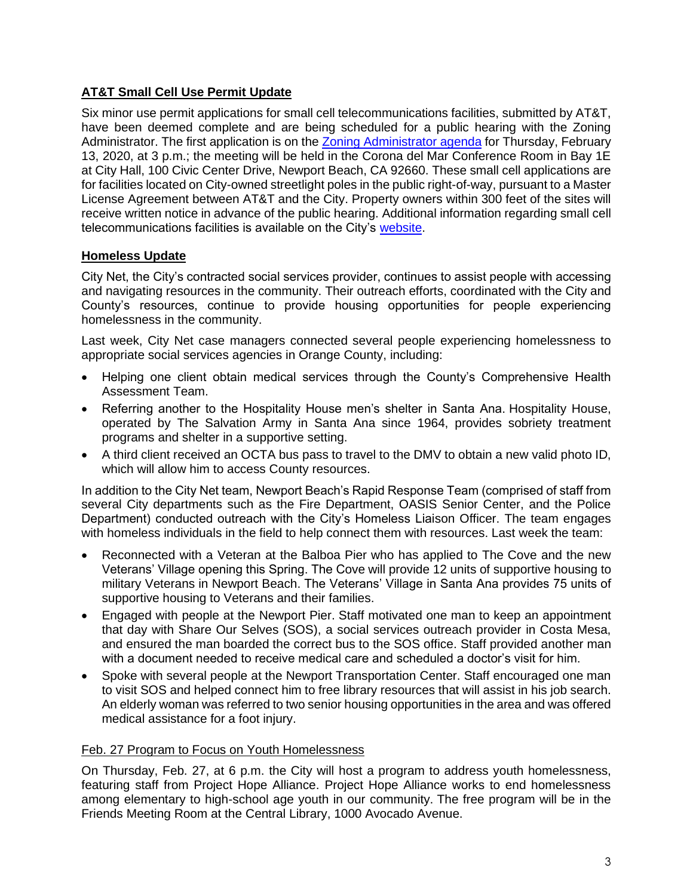# **AT&T Small Cell Use Permit Update**

Six minor use permit applications for small cell telecommunications facilities, submitted by AT&T, have been deemed complete and are being scheduled for a public hearing with the Zoning Administrator. The first application is on the [Zoning Administrator agenda](https://www.newportbeachca.gov/Home/Components/Calendar/Event/60033/72) for Thursday, February 13, 2020, at 3 p.m.; the meeting will be held in the Corona del Mar Conference Room in Bay 1E at City Hall, 100 Civic Center Drive, Newport Beach, CA 92660. These small cell applications are for facilities located on City-owned streetlight poles in the public right-of-way, pursuant to a Master License Agreement between AT&T and the City. Property owners within 300 feet of the sites will receive written notice in advance of the public hearing. Additional information regarding small cell telecommunications facilities is available on the City's [website.](https://www.newportbeachca.gov/government/departments/community-development/planning-division/frequently-asked-questions-faq/small-cell-technology)

# **Homeless Update**

City Net, the City's contracted social services provider, continues to assist people with accessing and navigating resources in the community. Their outreach efforts, coordinated with the City and County's resources, continue to provide housing opportunities for people experiencing homelessness in the community.

Last week, City Net case managers connected several people experiencing homelessness to appropriate social services agencies in Orange County, including:

- Helping one client obtain medical services through the County's Comprehensive Health Assessment Team.
- Referring another to the Hospitality House men's shelter in Santa Ana. Hospitality House, operated by The Salvation Army in Santa Ana since 1964, provides sobriety treatment programs and shelter in a supportive setting.
- A third client received an OCTA bus pass to travel to the DMV to obtain a new valid photo ID, which will allow him to access County resources.

In addition to the City Net team, Newport Beach's Rapid Response Team (comprised of staff from several City departments such as the Fire Department, OASIS Senior Center, and the Police Department) conducted outreach with the City's Homeless Liaison Officer. The team engages with homeless individuals in the field to help connect them with resources. Last week the team:

- Reconnected with a Veteran at the Balboa Pier who has applied to The Cove and the new Veterans' Village opening this Spring. The Cove will provide 12 units of supportive housing to military Veterans in Newport Beach. The Veterans' Village in Santa Ana provides 75 units of supportive housing to Veterans and their families.
- Engaged with people at the Newport Pier. Staff motivated one man to keep an appointment that day with Share Our Selves (SOS), a social services outreach provider in Costa Mesa, and ensured the man boarded the correct bus to the SOS office. Staff provided another man with a document needed to receive medical care and scheduled a doctor's visit for him.
- Spoke with several people at the Newport Transportation Center. Staff encouraged one man to visit SOS and helped connect him to free library resources that will assist in his job search. An elderly woman was referred to two senior housing opportunities in the area and was offered medical assistance for a foot injury.

### Feb. 27 Program to Focus on Youth Homelessness

On Thursday, Feb. 27, at 6 p.m. the City will host a program to address youth homelessness, featuring staff from Project Hope Alliance. Project Hope Alliance works to end homelessness among elementary to high-school age youth in our community. The free program will be in the Friends Meeting Room at the Central Library, 1000 Avocado Avenue.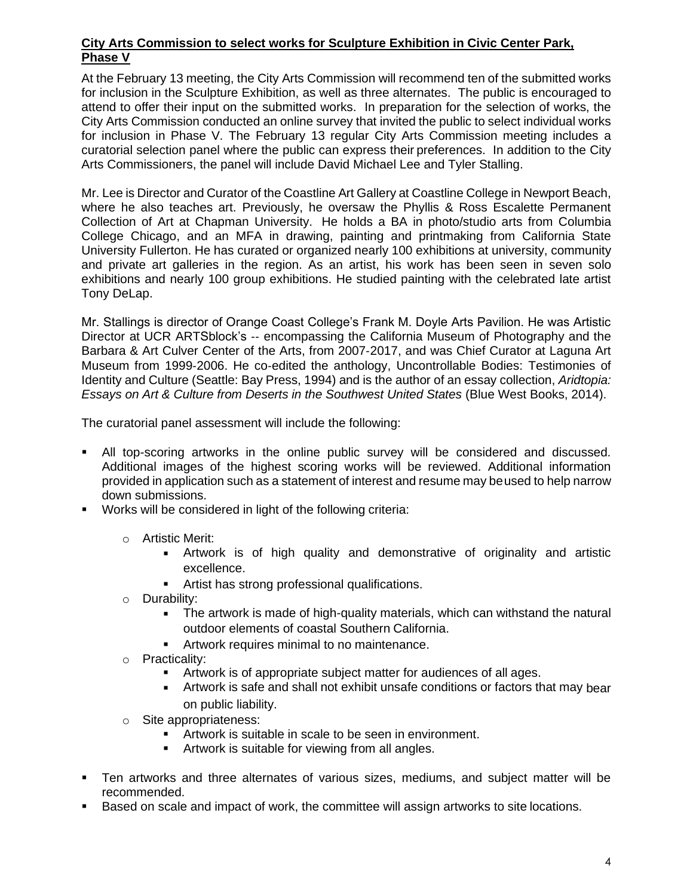## **City Arts Commission to select works for Sculpture Exhibition in Civic Center Park, Phase V**

At the February 13 meeting, the City Arts Commission will recommend ten of the submitted works for inclusion in the Sculpture Exhibition, as well as three alternates. The public is encouraged to attend to offer their input on the submitted works. In preparation for the selection of works, the City Arts Commission conducted an online survey that invited the public to select individual works for inclusion in Phase V. The February 13 regular City Arts Commission meeting includes a curatorial selection panel where the public can express their preferences. In addition to the City Arts Commissioners, the panel will include David Michael Lee and Tyler Stalling.

Mr. Lee is Director and Curator of the Coastline Art Gallery at Coastline College in Newport Beach, where he also teaches art. Previously, he oversaw the Phyllis & Ross Escalette Permanent Collection of Art at Chapman University. He holds a BA in photo/studio arts from Columbia College Chicago, and an MFA in drawing, painting and printmaking from California State University Fullerton. He has curated or organized nearly 100 exhibitions at university, community and private art galleries in the region. As an artist, his work has been seen in seven solo exhibitions and nearly 100 group exhibitions. He studied painting with the celebrated late artist Tony DeLap.

Mr. Stallings is director of Orange Coast College's Frank M. Doyle Arts Pavilion. He was Artistic Director at UCR ARTSblock's -- encompassing the California Museum of Photography and the Barbara & Art Culver Center of the Arts, from 2007‐2017, and was Chief Curator at Laguna Art Museum from 1999‐2006. He co‐edited the anthology, Uncontrollable Bodies: Testimonies of Identity and Culture (Seattle: Bay Press, 1994) and is the author of an essay collection, *Aridtopia: Essays on Art & Culture from Deserts in the Southwest United States* (Blue West Books, 2014).

The curatorial panel assessment will include the following:

- All top-scoring artworks in the online public survey will be considered and discussed. Additional images of the highest scoring works will be reviewed. Additional information provided in application such as a statement of interest and resume may beused to help narrow down submissions.
- Works will be considered in light of the following criteria:
	- o Artistic Merit:
		- **EXTENDING** Artwork is of high quality and demonstrative of originality and artistic excellence.
		- **E** Artist has strong professional qualifications.
	- o Durability:
		- The artwork is made of high-quality materials, which can withstand the natural outdoor elements of coastal Southern California.
		- **EXE** Artwork requires minimal to no maintenance.
	- o Practicality:
		- **EXECT** Artwork is of appropriate subject matter for audiences of all ages.
		- **EXECT** Artwork is safe and shall not exhibit unsafe conditions or factors that may bear on public liability.
	- o Site appropriateness:
		- **EXECT** Artwork is suitable in scale to be seen in environment.
		- **EXECT** Artwork is suitable for viewing from all angles.
- **•** Ten artworks and three alternates of various sizes, mediums, and subject matter will be recommended.
- Based on scale and impact of work, the committee will assign artworks to site locations.